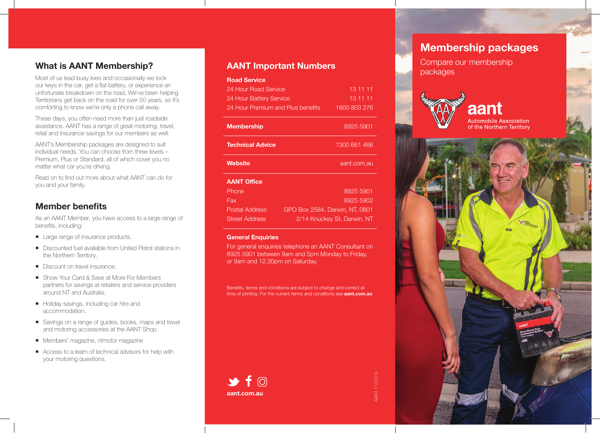## **\$1PPDPES**

Most of us lead busy lives and occasionally we lock our keys in the car, get a flat battery, or experience an unfortunate breakdown on the road. We've been helping Territorians get back on the road for over 50 years, so it's comforting to know we're only a phone call away.

These days, you often need more than just roadside assistance. AANT has a range of great motoring, travel, retail and insurance savings for our members as well.

AANT's Premium Membership package is designed to suit individual needs, no matter what car you're driving.

Read on to find out more about what AANT can do for you and your family.

## Member benefits

As an AANT Member, you have access to a large range of benefits, including:

- Large range of insurance products.
- Discounted fuel available from United Petrol stations in the Northern Territory.
- Discount on travel insurance.
- Show Your Card & Save at More For Members partners for savings at retailers and service providers around NT and Australia.
- Holiday savings, including car hire, tours and attractions.
- Savings on a range of guides, books, maps and travel and motoring accessories at the AANT Shop.
- Members' magazine, NTmotor magazine.
- Access to a team of technical advisors for help with your motoring questions.

### **AANT Important Numbers**

| <b>RGO</b>                                       |                             |  |
|--------------------------------------------------|-----------------------------|--|
| 24 Hour Road Service                             | 13 11 11                    |  |
| 24 Hour Battery Service                          | 13 11 11                    |  |
| 24 Hour Premium and Plus benefits                | 1800 803 276                |  |
| naiegi<br>ai -<br>anodel                         | 8925 5901                   |  |
| <b>Technical Advice</b>                          | 1300 661 466                |  |
| PO.<br>h<br>$n_{\rm H}$<br>$\mathsf{q}$          | cejc Sa @@ntsp.com.au       |  |
| <b>AANT Office</b>                               |                             |  |
| Phone                                            | 8925 5901                   |  |
| Fax                                              | 8925 5902                   |  |
| Postal Address<br>GPO Box 2584, Darwin, NT, 0801 |                             |  |
| <b>Street Address</b>                            | 2/14 Knuckey St, Darwin, NT |  |

#### **General Enquiries**

For general membership enquiries phone an AANT Consultant on 8925 5901 between 9am and 5pm Monday to Friday, or 9am and 12.30pm on Saturday.

Benefits, terms and conditions are subject to change and correct at time of printing. For the current terms and conditions see **aant.com.au**



# **PPDPESI**